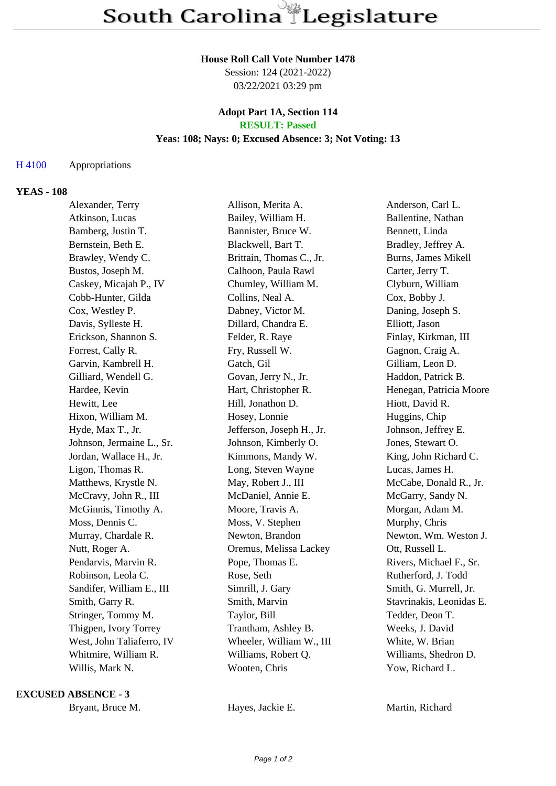# **House Roll Call Vote Number 1478**

Session: 124 (2021-2022) 03/22/2021 03:29 pm

### **Adopt Part 1A, Section 114 RESULT: Passed**

## **Yeas: 108; Nays: 0; Excused Absence: 3; Not Voting: 13**

#### H 4100 Appropriations

#### **YEAS - 108**

| Alexander, Terry          | Allison, Merita A.        | Anderson, Carl L.        |
|---------------------------|---------------------------|--------------------------|
| Atkinson, Lucas           | Bailey, William H.        | Ballentine, Nathan       |
| Bamberg, Justin T.        | Bannister, Bruce W.       | Bennett, Linda           |
| Bernstein, Beth E.        | Blackwell, Bart T.        | Bradley, Jeffrey A.      |
| Brawley, Wendy C.         | Brittain, Thomas C., Jr.  | Burns, James Mikell      |
| Bustos, Joseph M.         | Calhoon, Paula Rawl       | Carter, Jerry T.         |
| Caskey, Micajah P., IV    | Chumley, William M.       | Clyburn, William         |
| Cobb-Hunter, Gilda        | Collins, Neal A.          | Cox, Bobby J.            |
| Cox, Westley P.           | Dabney, Victor M.         | Daning, Joseph S.        |
| Davis, Sylleste H.        | Dillard, Chandra E.       | Elliott, Jason           |
| Erickson, Shannon S.      | Felder, R. Raye           | Finlay, Kirkman, III     |
| Forrest, Cally R.         | Fry, Russell W.           | Gagnon, Craig A.         |
| Garvin, Kambrell H.       | Gatch, Gil                | Gilliam, Leon D.         |
| Gilliard, Wendell G.      | Govan, Jerry N., Jr.      | Haddon, Patrick B.       |
| Hardee, Kevin             | Hart, Christopher R.      | Henegan, Patricia Moore  |
| Hewitt, Lee               | Hill, Jonathon D.         | Hiott, David R.          |
| Hixon, William M.         | Hosey, Lonnie             | Huggins, Chip            |
| Hyde, Max T., Jr.         | Jefferson, Joseph H., Jr. | Johnson, Jeffrey E.      |
| Johnson, Jermaine L., Sr. | Johnson, Kimberly O.      | Jones, Stewart O.        |
| Jordan, Wallace H., Jr.   | Kimmons, Mandy W.         | King, John Richard C.    |
| Ligon, Thomas R.          | Long, Steven Wayne        | Lucas, James H.          |
| Matthews, Krystle N.      | May, Robert J., III       | McCabe, Donald R., Jr.   |
| McCravy, John R., III     | McDaniel, Annie E.        | McGarry, Sandy N.        |
| McGinnis, Timothy A.      | Moore, Travis A.          | Morgan, Adam M.          |
| Moss, Dennis C.           | Moss, V. Stephen          | Murphy, Chris            |
| Murray, Chardale R.       | Newton, Brandon           | Newton, Wm. Weston J.    |
| Nutt, Roger A.            | Oremus, Melissa Lackey    | Ott, Russell L.          |
| Pendarvis, Marvin R.      | Pope, Thomas E.           | Rivers, Michael F., Sr.  |
| Robinson, Leola C.        | Rose, Seth                | Rutherford, J. Todd      |
| Sandifer, William E., III | Simrill, J. Gary          | Smith, G. Murrell, Jr.   |
| Smith, Garry R.           | Smith, Marvin             | Stavrinakis, Leonidas E. |
| Stringer, Tommy M.        | Taylor, Bill              | Tedder, Deon T.          |
| Thigpen, Ivory Torrey     | Trantham, Ashley B.       | Weeks, J. David          |
| West, John Taliaferro, IV | Wheeler, William W., III  | White, W. Brian          |
| Whitmire, William R.      | Williams, Robert Q.       | Williams, Shedron D.     |
| Willis, Mark N.           | Wooten, Chris             | Yow, Richard L.          |
|                           |                           |                          |

#### **EXCUSED ABSENCE - 3**

Bryant, Bruce M. **Hayes, Jackie E.** Martin, Richard